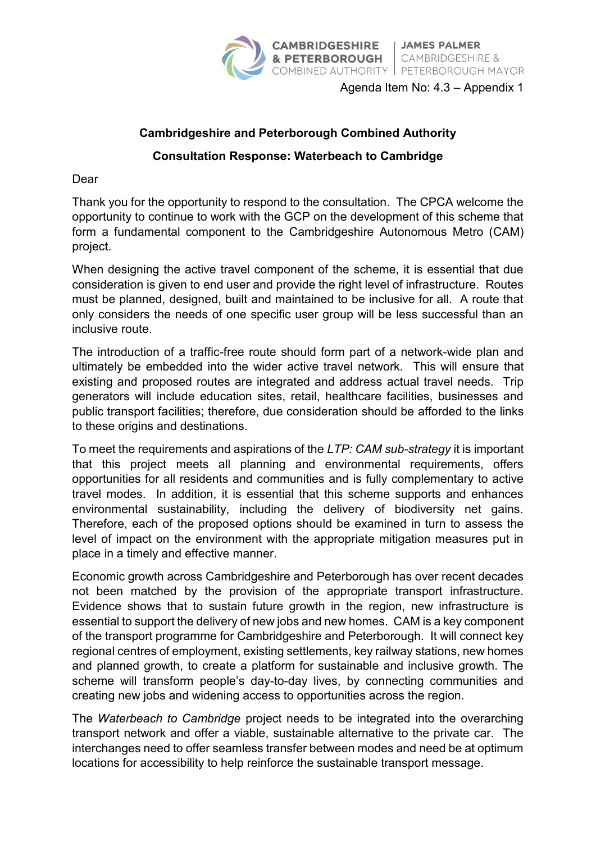

Agenda Item No: 4.3 – Appendix 1

## **Cambridgeshire and Peterborough Combined Authority**

## **Consultation Response: Waterbeach to Cambridge**

Dear

Thank you for the opportunity to respond to the consultation. The CPCA welcome the opportunity to continue to work with the GCP on the development of this scheme that form a fundamental component to the Cambridgeshire Autonomous Metro (CAM) project.

When designing the active travel component of the scheme, it is essential that due consideration is given to end user and provide the right level of infrastructure. Routes must be planned, designed, built and maintained to be inclusive for all. A route that only considers the needs of one specific user group will be less successful than an inclusive route.

The introduction of a traffic-free route should form part of a network-wide plan and ultimately be embedded into the wider active travel network. This will ensure that existing and proposed routes are integrated and address actual travel needs. Trip generators will include education sites, retail, healthcare facilities, businesses and public transport facilities; therefore, due consideration should be afforded to the links to these origins and destinations.

To meet the requirements and aspirations of the *LTP: CAM sub-strategy* it is important that this project meets all planning and environmental requirements, offers opportunities for all residents and communities and is fully complementary to active travel modes. In addition, it is essential that this scheme supports and enhances environmental sustainability, including the delivery of biodiversity net gains. Therefore, each of the proposed options should be examined in turn to assess the level of impact on the environment with the appropriate mitigation measures put in place in a timely and effective manner.

Economic growth across Cambridgeshire and Peterborough has over recent decades not been matched by the provision of the appropriate transport infrastructure. Evidence shows that to sustain future growth in the region, new infrastructure is essential to support the delivery of new jobs and new homes. CAM is a key component of the transport programme for Cambridgeshire and Peterborough. It will connect key regional centres of employment, existing settlements, key railway stations, new homes and planned growth, to create a platform for sustainable and inclusive growth. The scheme will transform people's day-to-day lives, by connecting communities and creating new jobs and widening access to opportunities across the region.

The *Waterbeach to Cambridge* project needs to be integrated into the overarching transport network and offer a viable, sustainable alternative to the private car. The interchanges need to offer seamless transfer between modes and need be at optimum locations for accessibility to help reinforce the sustainable transport message.